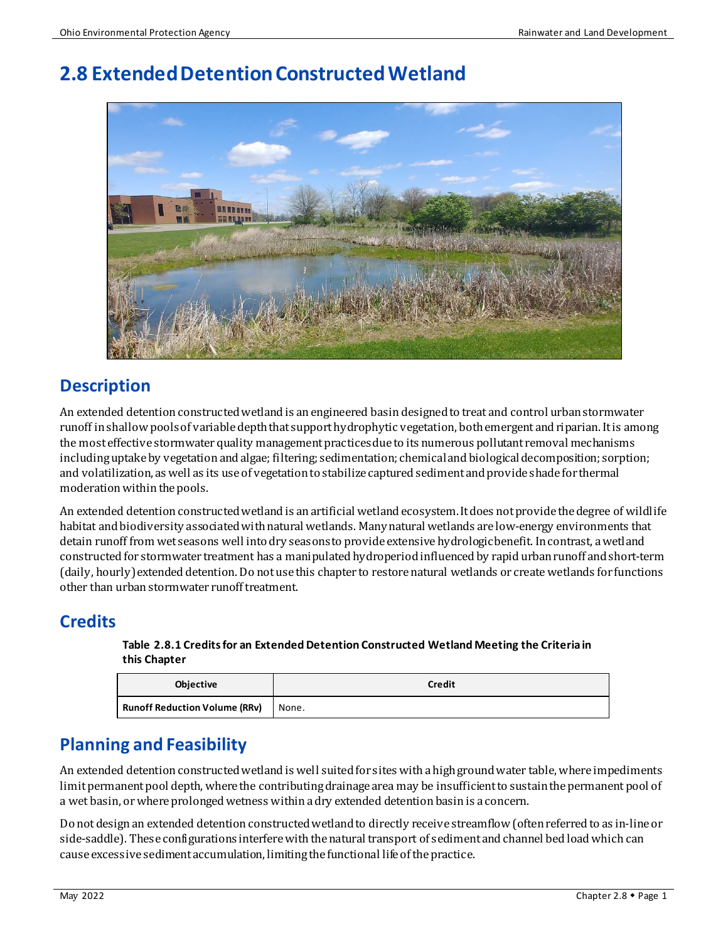# **2.8 Extended Detention Constructed Wetland**



# **Description**

An extended detention constructed wetland is an engineered basindesigned to treat and control urban stormwater runoff in shallow pools of variabledepth that support hydrophytic vegetation, both emergent and riparian. It is among the most effective stormwater quality management practices due to its numerous pollutant removal mechanisms including uptake by vegetation and algae; filtering; sedimentation; chemical and biological decomposition; sorption; and volatilization, as well as its use of vegetation to stabilize captured sediment and provide shade for thermal moderation within the pools.

An extended detention constructed wetland is an artificial wetland ecosystem. It does not provide the degree of wildlife habitat and biodiversity associated with natural wetlands. Many natural wetlands are low-energy environments that detain runoff from wet seasons well into dry seasons to provide extensive hydrologic benefit. In contrast, a wetland constructed for stormwater treatment has a manipulated hydroperiod influenced by rapid urban runoff and short-term (daily, hourly) extended detention. Do not use this chapter to restore natural wetlands or create wetlands for functions other than urban stormwater runoff treatment.

# **Credits**

**Table 2.8.1 Credits for an Extended Detention Constructed Wetland Meeting the Criteria in this Chapter**

| <b>Objective</b>                     | <b>Credit</b> |
|--------------------------------------|---------------|
| <b>Runoff Reduction Volume (RRv)</b> | None.         |

# **Planning and Feasibility**

An extended detention constructed wetland is well suited for sites with a high groundwater table, where impediments limit permanent pool depth, where the contributing drainage area may be insufficient to sustain the permanent pool of a wet basin, or where prolonged wetness within a dry extended detention basin is a concern.

Do not design an extended detention constructed wetland to directly receive streamflow (often referred to as in-line or side-saddle). These configurations interfere with the natural transport of sediment and channel bed load which can cause excessive sediment accumulation, limiting the functional life of the practice.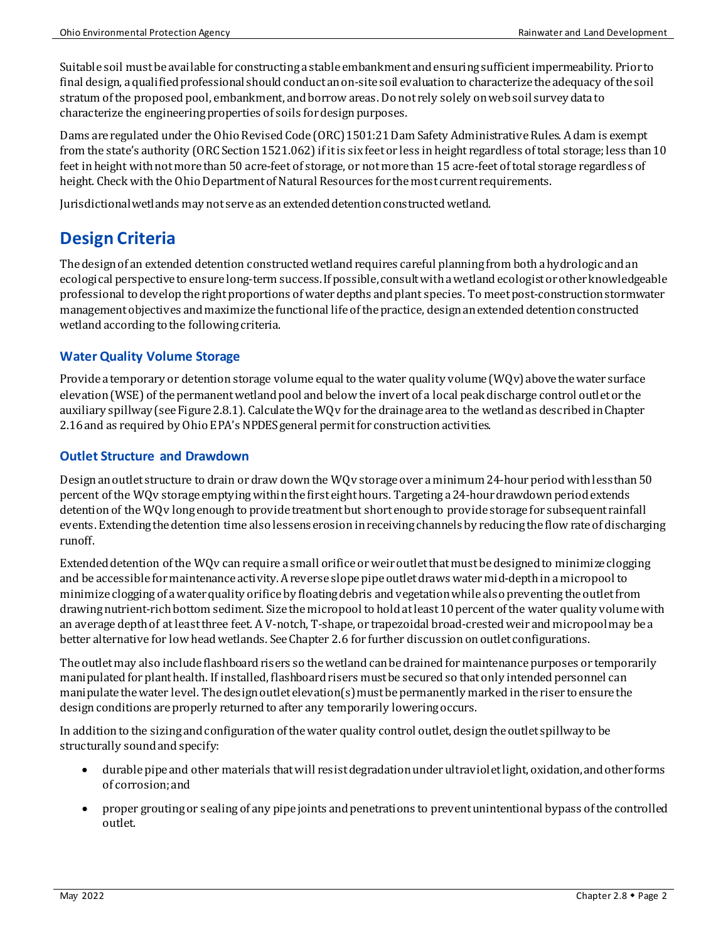Suitable soil must be available for constructing a stable embankment and ensuring sufficient impermeability. Prior to final design, a qualified professional should conduct an on-site soil evaluation to characterize the adequacy of the soil stratum of the proposed pool, embankment, and borrow areas. Do not rely solely onweb soil surveydata to characterize the engineering properties of soils for design purposes.

Dams are regulated under the Ohio Revised Code (ORC) 1501:21 Dam Safety Administrative Rules. A dam is exempt from the state's authority (ORC Section 1521.062) if it is six feet or less in height regardless of total storage; less than 10 feet in height with not more than 50 acre-feet of storage, or not more than 15 acre-feet of total storage regardless of height. Check with the Ohio Department of Natural Resources for the most current requirements.

Jurisdictional wetlands may not serve as an extended detention constructed wetland.

# **Design Criteria**

The design of an extended detention constructed wetland requires careful planning from both a hydrologic and an ecological perspective to ensure long-term success. If possible, consult with a wetland ecologist or other knowledgeable professional to develop the right proportions of water depths and plant species. To meet post-construction stormwater management objectives and maximize the functional life of the practice, design an extended detention constructed wetland according to the following criteria.

### **Water Quality Volume Storage**

Provide a temporary or detention storage volume equal to the water quality volume (WQv) above the water surface elevation (WSE) of the permanent wetland pool and belowthe invert of a local peak discharge control outlet or the auxiliary spillway(see Figure 2.8.1). Calculate the WQv for the drainage area to the wetland as described in Chapter 2.16 and as required by Ohio EPA's NPDES general permit for construction activities.

#### **Outlet Structure and Drawdown**

Design an outlet structure to drain or draw down the WQv storage over a minimum 24-hour period with less than 50 percent of the WQv storage emptying within the first eight hours. Targeting a 24-hour drawdown period extends detention of the WQv long enough to provide treatment but short enough to provide storage for subsequent rainfall events. Extending the detention time also lessenserosion in receiving channels by reducingthe flow rate of discharging runoff.

Extended detention of the WQv can require a small orifice or weir outlet that must be designed to minimize clogging and be accessible for maintenance activity. Areverse slope pipe outlet draws water mid-depth ina micropool to minimize clogging of awater quality orificeby floating debris and vegetation while also preventing the outlet from drawing nutrient-rich bottom sediment. Size the micropool to hold at least 10 percent of the water quality volume with an average depth of at least three feet. A V-notch, T-shape, or trapezoidal broad-crested weir and micropool may be a better alternative for low head wetlands. See Chapter 2.6 for further discussion on outlet configurations.

The outletmay also include flashboard risers so the wetland can be drained for maintenance purposes or temporarily manipulated for plant health. If installed, flashboard risers mustbe secured so that only intended personnel can manipulate the water level. The design outlet elevation(s) must be permanently markedin the riser to ensure the design conditions are properly returned to after any temporarily lowering occurs.

In addition to the sizing and configuration of the water quality control outlet, design the outlet spillway to be structurally sound and specify:

- durable pipe and other materials that will resist degradation under ultraviolet light, oxidation, and other forms of corrosion;and
- proper grouting or sealing of any pipe joints and penetrations to prevent unintentional bypass of the controlled outlet.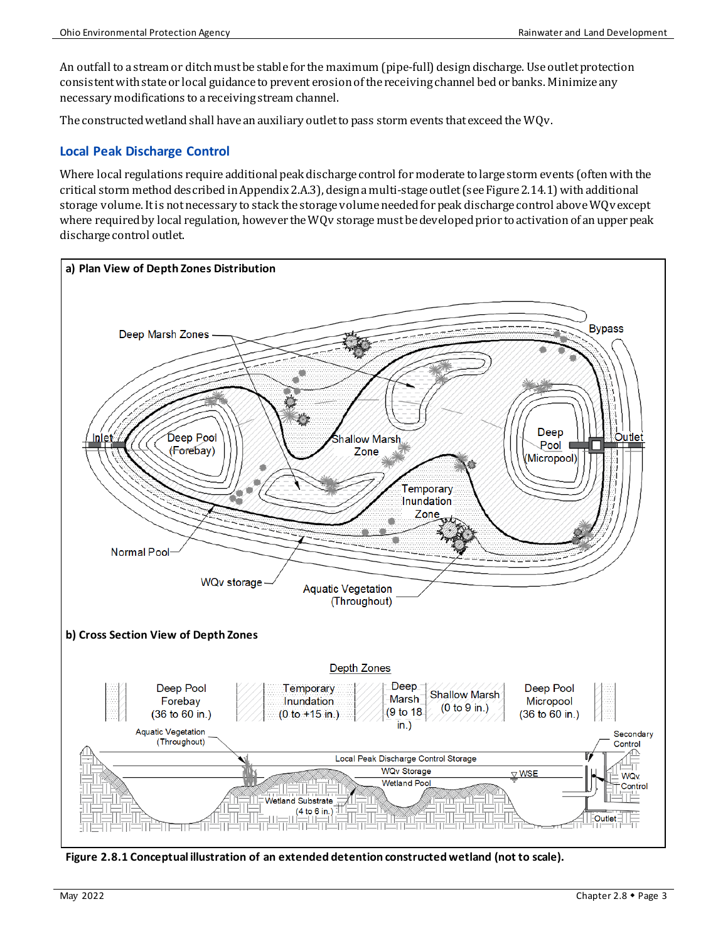An outfall to a stream or ditch must be stable for the maximum (pipe-full) design discharge. Use outlet protection consistent with state or local guidance to prevent erosion of the receiving channel bed or banks. Minimize any necessary modifications to a receiving stream channel.

The constructed wetland shall have an auxiliary outlet to pass storm events that exceed the WQv.

### **Local Peak Discharge Control**

Where local regulations require additional peak discharge control for moderate to large storm events (often with the critical storm method described in Appendix 2.A.3), design a multi-stage outlet (see Figure 2.14.1) with additional storage volume. It is not necessary to stack the storage volume needed for peak discharge control above WQv except where required by local regulation, however the WQv storage must be developed prior to activation of an upper peak discharge control outlet.



**Figure 2.8.1 Conceptual illustration of an extended detention constructed wetland (not to scale).**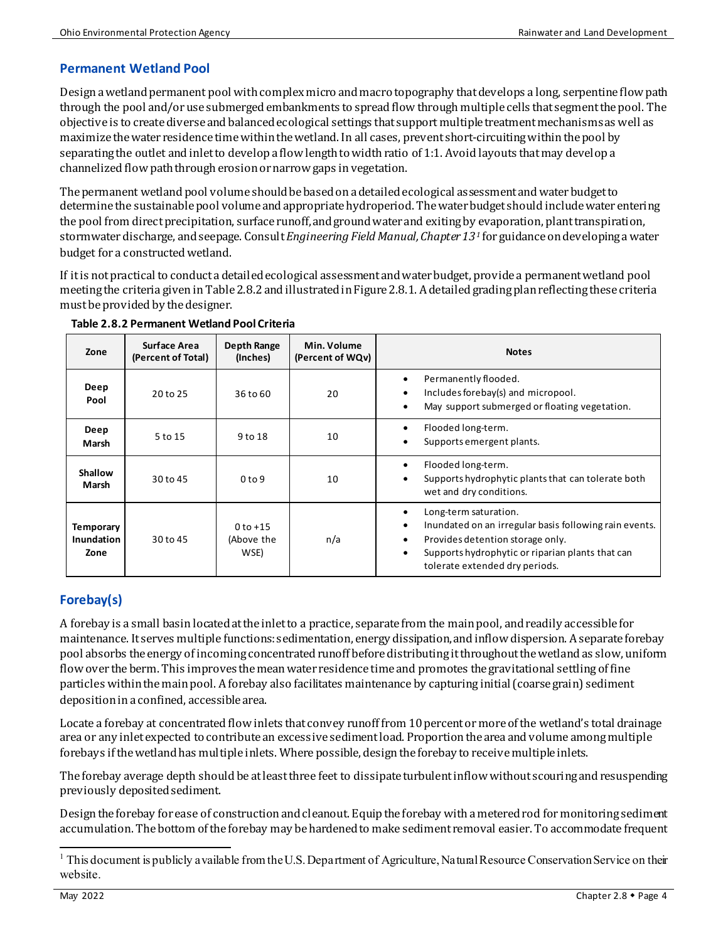### **Permanent Wetland Pool**

Design awetland permanent pool with complex micro and macro topography that develops a long, serpentine flow path through the pool and/or use submerged embankments to spread flow through multiple cells that segment the pool. The objective is to create diverse and balanced ecological settings that support multiple treatment mechanismsas well as maximize the water residence timewithin the wetland. In all cases, prevent short-circuiting within the pool by separatingthe outlet and inlet to develop a flow length to width ratio of 1:1. Avoid layouts that may develop a channelized flow path through erosion or narrow gaps in vegetation.

The permanent wetland pool volume should be based on a detailed ecological assessment and water budget to determine the sustainable pool volume and appropriate hydroperiod. The water budget should include water entering the pool from direct precipitation, surface runoff, and groundwater and exitingby evaporation, plant transpiration, stormwater discharge, and seepage. Consult *Engineering Field Manual,Chapter 13[1](#page-3-0)* for guidance on developing a water budget for a constructed wetland.

If it is not practical to conduct a detailed ecological assessment and water budget, provide a permanent wetland pool meeting the criteria given in Table 2.8.2 and illustrated in Figure 2.8.1. A detailed grading plan reflecting these criteria must be provided by the designer.

| Zone                                   | Surface Area<br>(Percent of Total) | Depth Range<br>(Inches)            | Min. Volume<br>(Percent of WQv) | <b>Notes</b>                                                                                                                                                                                              |
|----------------------------------------|------------------------------------|------------------------------------|---------------------------------|-----------------------------------------------------------------------------------------------------------------------------------------------------------------------------------------------------------|
| Deep<br>Pool                           | 20 to 25                           | 36 to 60                           | 20                              | Permanently flooded.<br>Includes forebay(s) and micropool.<br>May support submerged or floating vegetation.                                                                                               |
| Deep<br>Marsh                          | 5 to 15                            | 9 to 18                            | 10                              | Flooded long-term.<br>Supports emergent plants.                                                                                                                                                           |
| Shallow<br>Marsh                       | 30 to 45                           | 0 <sub>to</sub> 9                  | 10                              | Flooded long-term.<br>Supports hydrophytic plants that can tolerate both<br>wet and dry conditions.                                                                                                       |
| <b>Temporary</b><br>Inundation<br>Zone | 30 to 45                           | $0$ to $+15$<br>(Above the<br>WSE) | n/a                             | Long-term saturation.<br>Inundated on an irregular basis following rain events.<br>Provides detention storage only.<br>Supports hydrophytic or riparian plants that can<br>tolerate extended dry periods. |

**Table 2.8.2 Permanent Wetland Pool Criteria**

## **Forebay(s)**

A forebay is a small basin located at the inlet to a practice, separate from the main pool, and readily accessible for maintenance. It serves multiple functions: sedimentation, energy dissipation, and inflow dispersion. A separate forebay pool absorbs the energy of incoming concentrated runoff before distributing it throughout the wetlandas slow, uniform flow over the berm. This improves the mean water residence time and promotes the gravitational settling of fine particles within the main pool. A forebay also facilitates maintenance by capturing initial (coarse grain) sediment deposition in a confined, accessible area.

Locate a forebay at concentrated flow inlets that convey runoff from 10 percent or more of the wetland's total drainage area or any inlet expected to contribute an excessive sediment load. Proportionthe area and volume among multiple forebays if the wetland has multiple inlets. Where possible, design the forebay to receive multiple inlets.

The forebay average depth should be at least three feet to dissipate turbulent inflow without scouring and resuspending previously deposited sediment.

Design the forebay for ease of construction and cleanout. Equip the forebay with a metered rod for monitoring sediment accumulation. The bottom of the forebay may be hardened to make sediment removal easier. To accommodate frequent

<span id="page-3-0"></span><sup>&</sup>lt;sup>1</sup> This document is publicly available from the U.S. Department of Agriculture, Natural Resource Conservation Service on their website.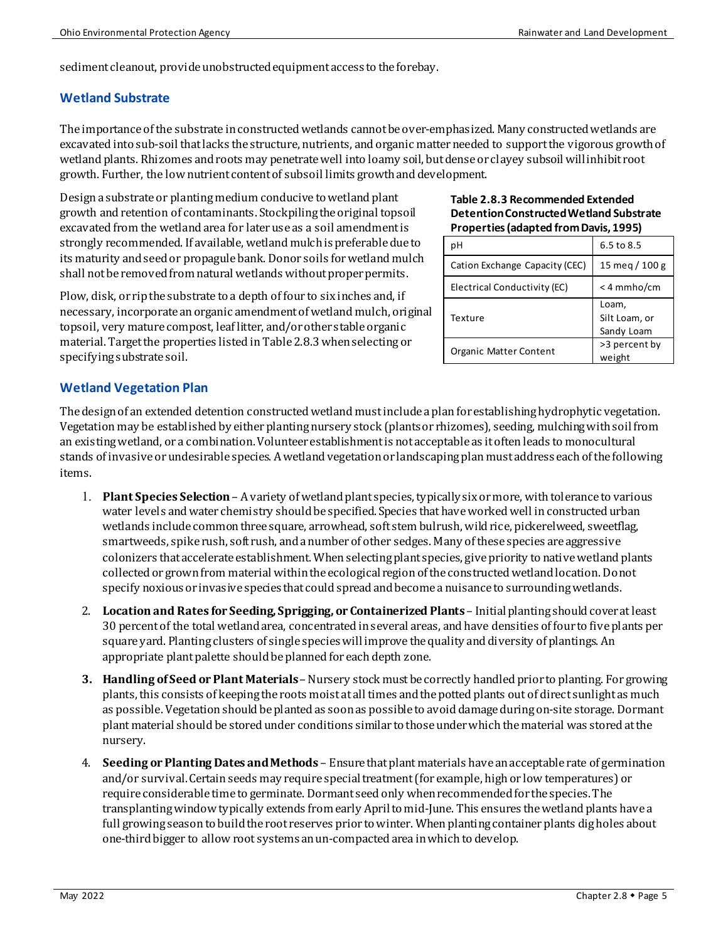sediment cleanout, provide unobstructed equipment access to the forebay.

#### **Wetland Substrate**

The importance of the substrate in constructed wetlands cannot be over-emphasized. Many constructed wetlands are excavated into sub-soil that lacks the structure, nutrients, and organic matter needed to support the vigorous growth of wetland plants. Rhizomes and roots may penetratewell into loamy soil, but dense or clayey subsoil will inhibit root growth. Further, the low nutrient contentof subsoil limits growth and development.

Design a substrate or planting medium conducive to wetland plant growth and retention of contaminants. Stockpiling the original topsoil excavated from the wetland area for later use as a soil amendment is strongly recommended. If available, wetland mulch is preferabledue to its maturity and seedor propagulebank. Donor soils for wetland mulch shall not be removed from natural wetlands without proper permits.

Plow, disk, or rip the substrate to a depth of four to six inches and, if necessary, incorporate an organic amendment of wetland mulch, original topsoil, very mature compost, leaf litter, and/or other stable organic material. Target the properties listed in Table 2.8.3 when selecting or specifying substrate soil.

#### **Table 2.8.3 Recommended Extended Detention Constructed Wetland Substrate Properties (adapted from Davis, 1995)**

| pН                             | $6.5$ to $8.5$                       |
|--------------------------------|--------------------------------------|
| Cation Exchange Capacity (CEC) | 15 meg / $100 g$                     |
| Electrical Conductivity (EC)   | $<$ 4 mmho/cm                        |
| Texture                        | Loam,<br>Silt Loam, or<br>Sandy Loam |
|                                |                                      |

### **Wetland Vegetation Plan**

The design of an extended detention constructed wetland must include a plan for establishing hydrophytic vegetation. Vegetation may be established by either planting nursery stock (plants or rhizomes), seeding, mulching with soil from an existing wetland, or a combination. Volunteer establishment is not acceptable as it often leads to monocultural stands of invasive or undesirable species. A wetland vegetation or landscaping plan must addresseach of the following items.

- 1. **Plant Species Selection** A variety of wetland plant species, typically six or more, with tolerance to various water levels and water chemistry should be specified. Species that have worked well in constructed urban wetlands include common three square, arrowhead, soft stem bulrush, wild rice, pickerelweed, sweetflag, smartweeds, spike rush, soft rush, and a number of other sedges. Many of these species are aggressive colonizers that accelerate establishment. When selecting plant species, give priority to native wetland plants collected or grown from material within the ecological region of the constructed wetland location. Do not specify noxious or invasive species that could spread and become a nuisance to surrounding wetlands.
- 2. **Location and Rates for Seeding, Sprigging, or Containerized Plants**  Initial planting should cover at least 30 percent of the total wetland area, concentrated in several areas, and have densities of four to five plants per square yard. Planting clusters of single species will improve the quality and diversity of plantings. An appropriate plantpalette should be planned for each depth zone.
- **3. Handling of Seed or Plant Materials** Nursery stock must be correctly handled prior to planting. For growing plants, this consists of keeping the roots moist at all times and the potted plants out of direct sunlight as much as possible. Vegetation should be planted as soon as possible to avoid damage during on-site storage. Dormant plant material should be stored under conditions similar to those under which the material was stored at the nursery.
- 4. **Seeding or Planting Dates and Methods** Ensure that plant materials have an acceptable rate of germination and/or survival. Certain seeds may require special treatment (for example, high or low temperatures) or require considerable time to germinate. Dormant seed only when recommended for the species. The transplanting window typically extends from early April to mid-June. This ensures the wetland plants have a full growing season to build the root reserves prior to winter. When planting container plants dig holes about one-third bigger to allow root systems an un-compacted area in which to develop.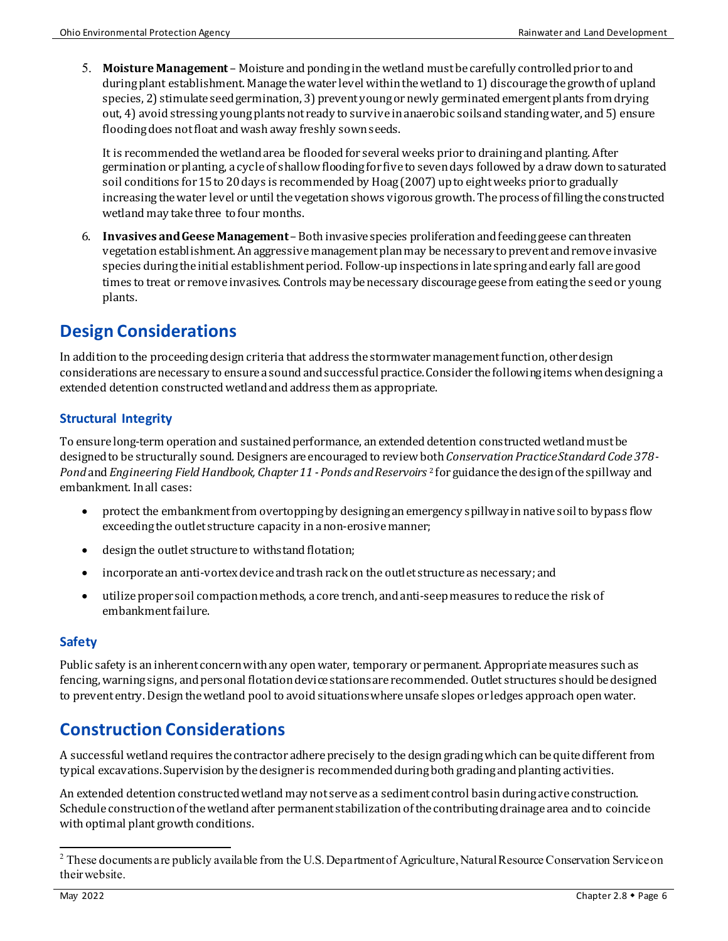5. **Moisture Management** – Moisture and ponding in the wetland mustbe carefully controlled prior to and during plant establishment. Manage the water level within the wetland to 1) discourage the growth of upland species, 2) stimulate seed germination, 3) prevent young or newly germinated emergent plants from drying out, 4) avoid stressing young plants not ready to survive in anaerobic soils andstanding water, and 5) ensure flooding does not float and wash away freshly sown seeds.

It is recommended the wetland area be flooded for several weeks prior to draining and planting. After germination or planting, a cycleof shallow flooding for five to seven days followed by a draw down to saturated soil conditions for 15 to 20 days is recommended by Hoag (2007) up to eight weeks prior to gradually increasing the water level or until the vegetation shows vigorous growth. The process of filling the constructed wetland may take three to four months.

6. **Invasives and Geese Management**– Both invasive species proliferation and feeding geese can threaten vegetation establishment. An aggressive management plan may be necessary to prevent and remove invasive species during the initial establishment period. Follow-up inspections in late spring and early fall are good times to treat or remove invasives. Controls may be necessary discourage geese from eating the seed or young plants.

# **Design Considerations**

In addition to the proceeding design criteria that address the stormwater management function, other design considerations are necessary to ensure a sound and successful practice. Consider the following items when designing a extended detention constructed wetlandand address them as appropriate.

## **Structural Integrity**

To ensure long-term operation and sustained performance, anextended detention constructed wetlandmust be designed to be structurally sound. Designers are encouraged to review both *Conservation Practice Standard Code 378 - Pond* and*Engineering Field Handbook, Chapter 11 - Ponds and Reservoirs* [2](#page-5-0) for guidance the design of the spillway and embankment. In all cases:

- protect the embankment from overtopping by designing an emergency spillway in native soil to bypass flow exceeding the outlet structure capacity in a non-erosive manner;
- design the outlet structure to withstand flotation;
- incorporate an anti-vortex device and trash rack on the outlet structure as necessary;and
- utilize proper soil compaction methods, a core trench, and anti-seep measures to reduce the risk of embankmentfailure.

## **Safety**

Public safety is an inherent concern with any open water, temporary or permanent. Appropriate measures such as fencing, warning signs, and personal flotation device stations are recommended. Outlet structures should be designed to prevent entry. Design the wetland pool to avoid situations where unsafe slopes or ledges approach open water.

# **Construction Considerations**

A successful wetland requires the contractor adhere precisely to the design grading which can be quite different from typical excavations. Supervision by the designer is recommended during both grading and planting activities.

An extended detention constructed wetland may not serve as a sediment control basin during active construction. Schedule construction of the wetland after permanent stabilization of the contributing drainage area and to coincide with optimal plant growth conditions.

<span id="page-5-0"></span><sup>&</sup>lt;sup>2</sup> These documents are publicly available from the U.S. Department of Agriculture, Natural Resource Conservation Service on their website.